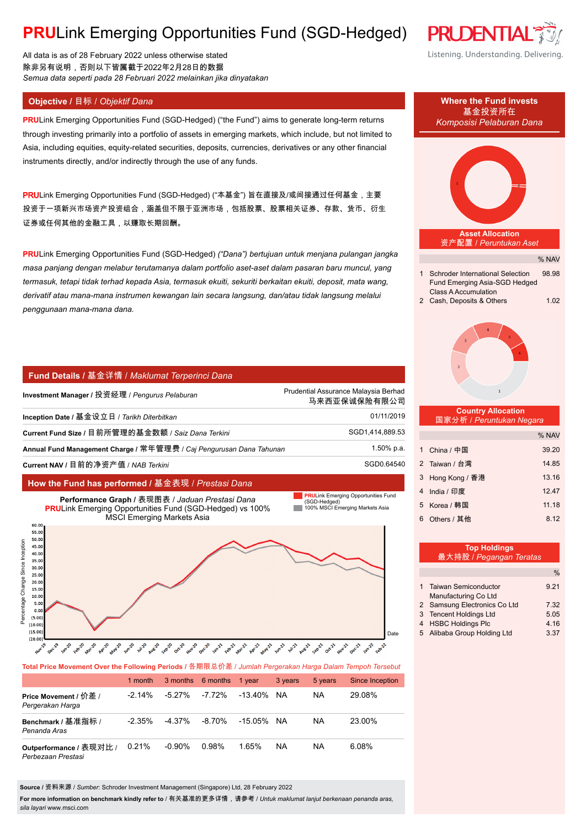## **PRU**Link Emerging Opportunities Fund (SGD-Hedged)

All data is as of 28 February 2022 unless otherwise stated 除非另有说明,否则以下皆属截于2022年2月28日的数据 *Semua data seperti pada 28 Februari 2022 melainkan jika dinyatakan*

**PRU**Link Emerging Opportunities Fund (SGD-Hedged) ("the Fund") aims to generate long-term returns through investing primarily into a portfolio of assets in emerging markets, which include, but not limited to Asia, including equities, equity-related securities, deposits, currencies, derivatives or any other financial instruments directly, and/or indirectly through the use of any funds.

PRULink Emerging Opportunities Fund (SGD-Hedged) ("本基金") 旨在直接及/或间接通过任何基金, 主要 投资于一项新兴市场资产投资组合,涵盖但不限于亚洲市场,包括股票、股票相关证券、存款、货币、衍生 证券或任何其他的金融工具,以赚取长期回酬。

**PRU**Link Emerging Opportunities Fund (SGD-Hedged) *("Dana") bertujuan untuk menjana pulangan jangka masa panjang dengan melabur terutamanya dalam portfolio aset-aset dalam pasaran baru muncul, yang termasuk, tetapi tidak terhad kepada Asia, termasuk ekuiti, sekuriti berkaitan ekuiti, deposit, mata wang, derivatif atau mana-mana instrumen kewangan lain secara langsung, dan/atau tidak langsung melalui penggunaan mana-mana dana.*

#### **Fund Details /** 基金详情 / *Maklumat Terperinci Dana*

| Investment Manager / 投资经理 / Pengurus Pelaburan                      | Prudential Assurance Malaysia Berhad<br>马来西亚保诚保险有限公司 |  |  |
|---------------------------------------------------------------------|------------------------------------------------------|--|--|
| Inception Date / 基金设立日 / Tarikh Diterbitkan                         | 01/11/2019                                           |  |  |
| Current Fund Size / 目前所管理的基金数额 / Saiz Dana Terkini                  | SGD1,414,889.53                                      |  |  |
| Annual Fund Management Charge / 常年管理费 / Caj Pengurusan Dana Tahunan | 1.50% p.a.                                           |  |  |
| Current NAV / 目前的净资产值 / NAB Terkini                                 | SGD0.64540                                           |  |  |

100% MSCI Emerging Markets Asia (SGD-Hedged) **PRULink Emerging Opportunities Fund** 

### **How the Fund has performed /** 基金表现 / *Prestasi Dana*

**Performance Graph /** 表现图表 / *Jaduan Prestasi Dana* **PRU**Link Emerging Opportunities Fund (SGD-Hedged) vs 100% MSCI Emerging Markets Asia 60.0 55.0 50.0



**Total Price Movement Over the Following Periods /** 各期限总价差 / *Jumlah Pergerakan Harga Dalam Tempoh Tersebut*

|                                               | 1 month   |           | 3 months 6 months | 1 vear     | 3 years   | 5 years   | Since Inception |
|-----------------------------------------------|-----------|-----------|-------------------|------------|-----------|-----------|-----------------|
| Price Movement / 价差 /<br>Pergerakan Harga     | $-2.14\%$ | $-5.27\%$ | $-7.72%$          | -13 40%    | <b>NA</b> | <b>NA</b> | 29.08%          |
| Benchmark / 基准指标 /<br>Penanda Aras            | $-2.35\%$ | $-4.37\%$ | $-8.70\%$         | -15.05% NA |           | <b>NA</b> | 23.00%          |
| Outperformance / 表现对比 /<br>Perbezaan Prestasi | 0.21%     | -0.90%    | 0.98%             | 1.65%      | <b>NA</b> | <b>NA</b> | 6.08%           |

**Source /** 资料来源 / *Sumber*: Schroder Investment Management (Singapore) Ltd, 28 February 2022

**For more information on benchmark kindly refer to** / 有关基准的更多详情,请参考 / *Untuk maklumat lanjut berkenaan penanda aras, sila layari* www.msci.com



- 4 HSBC Holdings Plc 4.16
- 5 Alibaba Group Holding Ltd 3.37



Listening. Understanding. Delivering.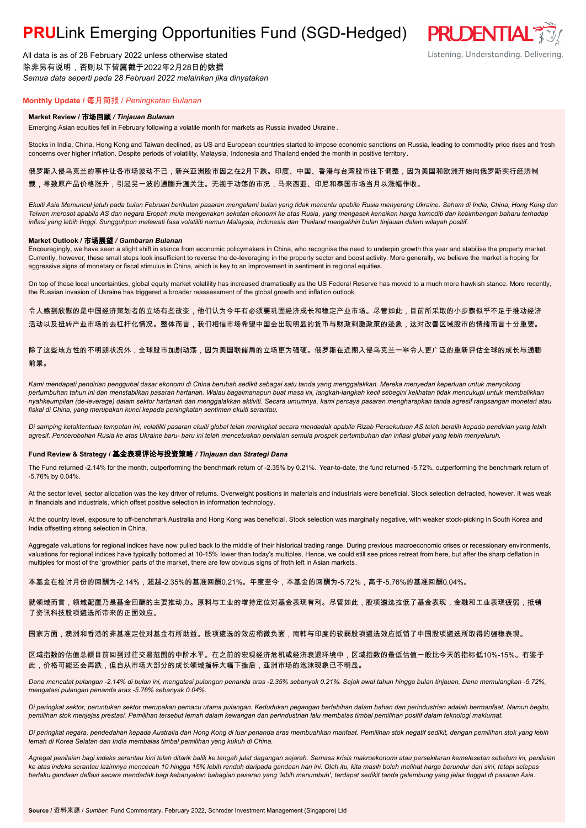## **PRU**Link Emerging Opportunities Fund (SGD-Hedged)

All data is as of 28 February 2022 unless otherwise stated 除非另有说明,否则以下皆属截于2022年2月28日的数据 *Semua data seperti pada 28 Februari 2022 melainkan jika dinyatakan*

# **PRUDENTIAL**

Listening. Understanding. Delivering.

**Monthly Update /** 每月简报 / *Peningkatan Bulanan*

#### **Market Review /** 市场回顾 */ Tinjauan Bulanan*

Emerging Asian equities fell in February following a volatile month for markets as Russia invaded Ukraine .

Stocks in India, China, Hong Kong and Taiwan declined, as US and European countries started to impose economic sanctions on Russia, leading to commodity price rises and fresh concerns over higher inflation. Despite periods of volatility, Malaysia, Indonesia and Thailand ended the month in positive territory.

俄罗斯入侵乌克兰的事件让各市场波动不已,新兴亚洲股市因之在2月下跌。印度、中国、香港与台湾股市往下调整,因为美国和欧洲开始向俄罗斯实行经济制 裁,导致原产品价格涨升,引起另一波的通膨升温关注。无视于动荡的市况,马来西亚、印尼和泰国市场当月以涨幅作收。

*Ekuiti Asia Memuncul jatuh pada bulan Februari berikutan pasaran mengalami bulan yang tidak menentu apabila Rusia menyerang Ukraine. Saham di India, China, Hong Kong dan Taiwan merosot apabila AS dan negara Eropah mula mengenakan sekatan ekonomi ke atas Rusia, yang mengasak kenaikan harga komoditi dan kebimbangan baharu terhadap inflasi yang lebih tinggi. Sungguhpun melewati fasa volatiliti namun Malaysia, Indonesia dan Thailand mengakhiri bulan tinjauan dalam wilayah positif.*

#### **Market Outlook /** 市场展望 */ Gambaran Bulanan*

Encouragingly, we have seen a slight shift in stance from economic policymakers in China, who recognise the need to underpin growth this year and stabilise the property market. Currently, however, these small steps look insufficient to reverse the de-leveraging in the property sector and boost activity. More generally, we believe the market is hoping for aggressive signs of monetary or fiscal stimulus in China, which is key to an improvement in sentiment in regional equities.

On top of these local uncertainties, global equity market volatility has increased dramatically as the US Federal Reserve has moved to a much more hawkish stance. More recently, the Russian invasion of Ukraine has triggered a broader reassessment of the global growth and inflation outlook.

令人感到欣慰的是中国经济策划者的立场有些改变,他们认为今年有必须要巩固经济成长和稳定产业市场。尽管如此,目前所采取的小步骤似乎不足于推动经济 活动以及扭转产业市场的去杠杆化情况。整体而言,我们相信市场希望中国会出现明显的货币与财政刺激政策的迹象,这对改善区域股市的情绪而言十分重要。

除了这些地方性的不明朗状况外,全球股市加剧动荡,因为美国联储局的立场更为强硬。俄罗斯在近期入侵乌克兰一举令人更广泛的重新评估全球的成长与通膨 前景。

*Kami mendapati pendirian penggubal dasar ekonomi di China berubah sedikit sebagai satu tanda yang menggalakkan. Mereka menyedari keperluan untuk menyokong pertumbuhan tahun ini dan menstabilkan pasaran hartanah. Walau bagaimanapun buat masa ini, langkah-langkah kecil sebegini kelihatan tidak mencukupi untuk membalikkan nyahkeumpilan (de-leverage) dalam sektor hartanah dan menggalakkan aktiviti. Secara umumnya, kami percaya pasaran mengharapkan tanda agresif rangsangan monetari atau fiskal di China, yang merupakan kunci kepada peningkatan sentimen ekuiti serantau.*

*Di samping ketaktentuan tempatan ini, volatiliti pasaran ekuiti global telah meningkat secara mendadak apabila Rizab Persekutuan AS telah beralih kepada pendirian yang lebih agresif. Pencerobohan Rusia ke atas Ukraine baru- baru ini telah mencetuskan penilaian semula prospek pertumbuhan dan inflasi global yang lebih menyeluruh.*

#### **Fund Review & Strategy /** 基金表现评论与投资策略 */ Tinjauan dan Strategi Dana*

The Fund returned -2.14% for the month, outperforming the benchmark return of -2.35% by 0.21%. Year-to-date, the fund returned -5.72%, outperforming the benchmark return of -5.76% by 0.04%.

At the sector level, sector allocation was the key driver of returns. Overweight positions in materials and industrials were beneficial. Stock selection detracted, however. It was weak in financials and industrials, which offset positive selection in information technology.

At the country level, exposure to off-benchmark Australia and Hong Kong was beneficial. Stock selection was marginally negative, with weaker stock-picking in South Korea and India offsetting strong selection in China.

Aggregate valuations for regional indices have now pulled back to the middle of their historical trading range. During previous macroeconomic crises or recessionary environments, valuations for regional indices have typically bottomed at 10-15% lower than today's multiples. Hence, we could still see prices retreat from here, but after the sharp deflation in multiples for most of the 'growthier' parts of the market, there are few obvious signs of froth left in Asian markets.

本基金在检讨月份的回酬为-2.14%,超越-2.35%的基准回酬0.21%。年度至今,本基金的回酬为-5.72%,高于-5.76%的基准回酬0.04%。

就领域而言,领域配置乃是基金回酬的主要推动力。原料与工业的增持定位对基金表现有利。尽管如此,股项遴选拉低了基金表现,金融和工业表现疲弱,抵销 了资讯科技股项遴选所带来的正面效应。

#### 国家方面,澳洲和香港的非基准定位对基金有所助益。股项遴选的效应稍微负面,南韩与印度的较弱股项遴选效应抵销了中国股项遴选所取得的强稳表现。

区域指数的估值总额目前回到过往交易范围的中阶水平。在之前的宏观经济危机或经济衰退环境中,区域指数的最低估值一般比今天的指标低10%-15%。有鉴于 此,价格可能还会再跌,但自从市场大部分的成长领域指标大幅下挫后,亚洲市场的泡沫现象已不明显。

*Dana mencatat pulangan -2.14% di bulan ini, mengatasi pulangan penanda aras -2.35% sebanyak 0.21%. Sejak awal tahun hingga bulan tinjauan, Dana memulangkan -5.72%, mengatasi pulangan penanda aras -5.76% sebanyak 0.04%.*

*Di peringkat sektor, peruntukan sektor merupakan pemacu utama pulangan. Kedudukan pegangan berlebihan dalam bahan dan perindustrian adalah bermanfaat. Namun begitu, pemilihan stok menjejas prestasi. Pemilihan tersebut lemah dalam kewangan dan perindustrian lalu membalas timbal pemilihan positif dalam teknologi maklumat.*

*Di peringkat negara, pendedahan kepada Australia dan Hong Kong di luar penanda aras membuahkan manfaat. Pemilihan stok negatif sedikit, dengan pemilihan stok yang lebih lemah di Korea Selatan dan India membalas timbal pemilihan yang kukuh di China.*

*Agregat penilaian bagi indeks serantau kini telah ditarik balik ke tengah julat dagangan sejarah. Semasa krisis makroekonomi atau persekitaran kemelesetan sebelum ini, penilaian ke atas indeks serantau lazimnya mencecah 10 hingga 15% lebih rendah daripada gandaan hari ini. Oleh itu, kita masih boleh melihat harga berundur dari sini, tetapi selepas berlaku gandaan deflasi secara mendadak bagi kebanyakan bahagian pasaran yang 'lebih menumbuh', terdapat sedikit tanda gelembung yang jelas tinggal di pasaran Asia.*